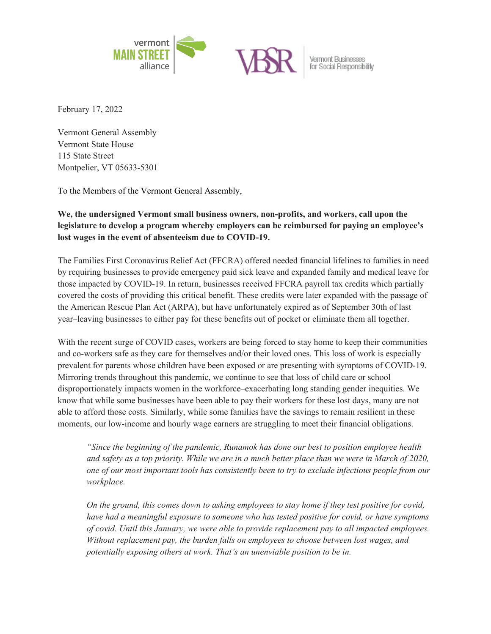

February 17, 2022

Vermont General Assembly Vermont State House 115 State Street Montpelier, VT 05633-5301

To the Members of the Vermont General Assembly,

## **We, the undersigned Vermont small business owners, non-profits, and workers, call upon the legislature to develop a program whereby employers can be reimbursed for paying an employee's lost wages in the event of absenteeism due to COVID-19.**

The Families First Coronavirus Relief Act (FFCRA) offered needed financial lifelines to families in need by requiring businesses to provide emergency paid sick leave and expanded family and medical leave for those impacted by COVID-19. In return, businesses received FFCRA payroll tax credits which partially covered the costs of providing this critical benefit. These credits were later expanded with the passage of the American Rescue Plan Act (ARPA), but have unfortunately expired as of September 30th of last year–leaving businesses to either pay for these benefits out of pocket or eliminate them all together.

With the recent surge of COVID cases, workers are being forced to stay home to keep their communities and co-workers safe as they care for themselves and/or their loved ones. This loss of work is especially prevalent for parents whose children have been exposed or are presenting with symptoms of COVID-19. Mirroring trends throughout this pandemic, we continue to see that loss of child care or school disproportionately impacts women in the workforce–exacerbating long standing gender inequities. We know that while some businesses have been able to pay their workers for these lost days, many are not able to afford those costs. Similarly, while some families have the savings to remain resilient in these moments, our low-income and hourly wage earners are struggling to meet their financial obligations.

*"Since the beginning of the pandemic, Runamok has done our best to position employee health and safety as a top priority. While we are in a much better place than we were in March of 2020, one of our most important tools has consistently been to try to exclude infectious people from our workplace.* 

*On the ground, this comes down to asking employees to stay home if they test positive for covid, have had a meaningful exposure to someone who has tested positive for covid, or have symptoms of covid. Until this January, we were able to provide replacement pay to all impacted employees. Without replacement pay, the burden falls on employees to choose between lost wages, and potentially exposing others at work. That's an unenviable position to be in.*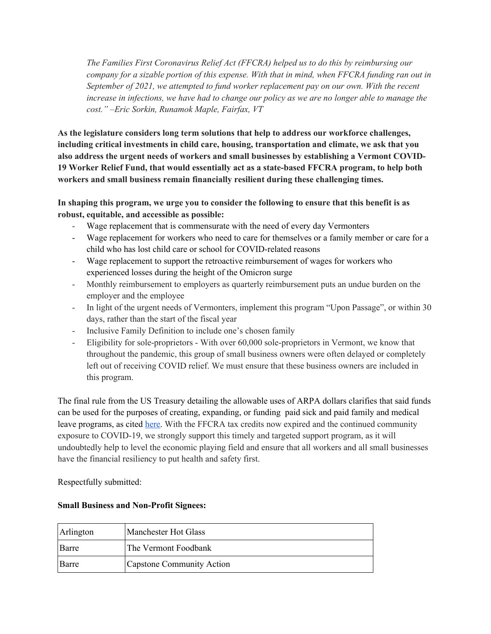*The Families First Coronavirus Relief Act (FFCRA) helped us to do this by reimbursing our company for a sizable portion of this expense. With that in mind, when FFCRA funding ran out in September of 2021, we attempted to fund worker replacement pay on our own. With the recent increase in infections, we have had to change our policy as we are no longer able to manage the cost." –Eric Sorkin, Runamok Maple, Fairfax, VT*

**As the legislature considers long term solutions that help to address our workforce challenges, including critical investments in child care, housing, transportation and climate, we ask that you also address the urgent needs of workers and small businesses by establishing a Vermont COVID-19 Worker Relief Fund, that would essentially act as a state-based FFCRA program, to help both workers and small business remain financially resilient during these challenging times.**

**In shaping this program, we urge you to consider the following to ensure that this benefit is as robust, equitable, and accessible as possible:** 

- Wage replacement that is commensurate with the need of every day Vermonters
- Wage replacement for workers who need to care for themselves or a family member or care for a child who has lost child care or school for COVID-related reasons
- Wage replacement to support the retroactive reimbursement of wages for workers who experienced losses during the height of the Omicron surge
- Monthly reimbursement to employers as quarterly reimbursement puts an undue burden on the employer and the employee
- In light of the urgent needs of Vermonters, implement this program "Upon Passage", or within 30 days, rather than the start of the fiscal year
- Inclusive Family Definition to include one's chosen family
- Eligibility for sole-proprietors With over 60,000 sole-proprietors in Vermont, we know that throughout the pandemic, this group of small business owners were often delayed or completely left out of receiving COVID relief. We must ensure that these business owners are included in this program.

The final rule from the US Treasury detailing the allowable uses of ARPA dollars clarifies that said funds can be used for the purposes of creating, expanding, or funding paid sick and paid family and medical leave programs, as cited here. With the FFCRA tax credits now expired and the continued community exposure to COVID-19, we strongly support this timely and targeted support program, as it will undoubtedly help to level the economic playing field and ensure that all workers and all small businesses have the financial resiliency to put health and safety first.

Respectfully submitted:

| Arlington    | Manchester Hot Glass      |
|--------------|---------------------------|
| Barre        | The Vermont Foodbank      |
| <b>Barre</b> | Capstone Community Action |

## **Small Business and Non-Profit Signees:**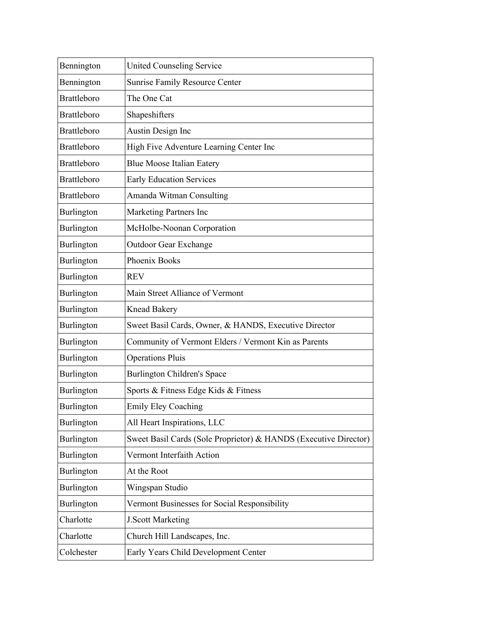| Bennington         | <b>United Counseling Service</b>                                 |
|--------------------|------------------------------------------------------------------|
| Bennington         | <b>Sunrise Family Resource Center</b>                            |
| <b>Brattleboro</b> | The One Cat                                                      |
| <b>Brattleboro</b> | Shapeshifters                                                    |
| <b>Brattleboro</b> | Austin Design Inc                                                |
| <b>Brattleboro</b> | High Five Adventure Learning Center Inc                          |
| <b>Brattleboro</b> | <b>Blue Moose Italian Eatery</b>                                 |
| <b>Brattleboro</b> | <b>Early Education Services</b>                                  |
| <b>Brattleboro</b> | Amanda Witman Consulting                                         |
| Burlington         | Marketing Partners Inc                                           |
| Burlington         | McHolbe-Noonan Corporation                                       |
| Burlington         | <b>Outdoor Gear Exchange</b>                                     |
| Burlington         | Phoenix Books                                                    |
| Burlington         | <b>REV</b>                                                       |
| Burlington         | Main Street Alliance of Vermont                                  |
| Burlington         | <b>Knead Bakery</b>                                              |
| Burlington         | Sweet Basil Cards, Owner, & HANDS, Executive Director            |
| Burlington         | Community of Vermont Elders / Vermont Kin as Parents             |
| Burlington         | <b>Operations Pluis</b>                                          |
| Burlington         | Burlington Children's Space                                      |
| Burlington         | Sports & Fitness Edge Kids & Fitness                             |
| Burlington         | <b>Emily Eley Coaching</b>                                       |
| Burlington         | All Heart Inspirations, LLC                                      |
| Burlington         | Sweet Basil Cards (Sole Proprietor) & HANDS (Executive Director) |
| Burlington         | Vermont Interfaith Action                                        |
| Burlington         | At the Root                                                      |
| Burlington         | Wingspan Studio                                                  |
| Burlington         | Vermont Businesses for Social Responsibility                     |
| Charlotte          | J.Scott Marketing                                                |
| Charlotte          | Church Hill Landscapes, Inc.                                     |
| Colchester         | Early Years Child Development Center                             |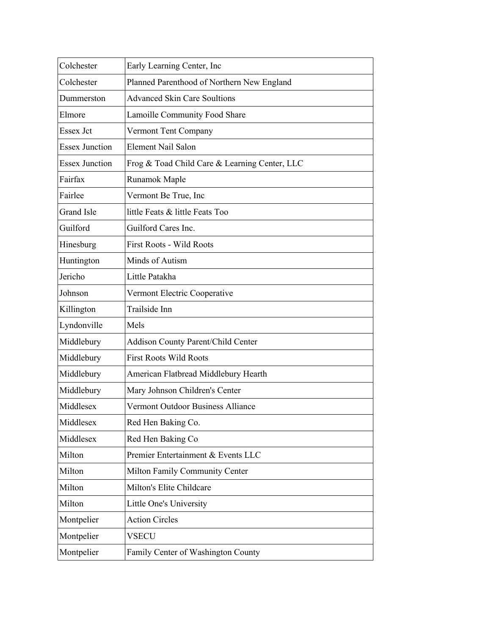| Colchester            | Early Learning Center, Inc                    |
|-----------------------|-----------------------------------------------|
| Colchester            | Planned Parenthood of Northern New England    |
| Dummerston            | <b>Advanced Skin Care Soultions</b>           |
| Elmore                | Lamoille Community Food Share                 |
| Essex Jct             | Vermont Tent Company                          |
| <b>Essex Junction</b> | <b>Element Nail Salon</b>                     |
| <b>Essex Junction</b> | Frog & Toad Child Care & Learning Center, LLC |
| Fairfax               | Runamok Maple                                 |
| Fairlee               | Vermont Be True, Inc                          |
| <b>Grand Isle</b>     | little Feats & little Feats Too               |
| Guilford              | Guilford Cares Inc.                           |
| Hinesburg             | <b>First Roots - Wild Roots</b>               |
| Huntington            | Minds of Autism                               |
| Jericho               | Little Patakha                                |
| Johnson               | Vermont Electric Cooperative                  |
| Killington            | Trailside Inn                                 |
| Lyndonville           | Mels                                          |
| Middlebury            | Addison County Parent/Child Center            |
| Middlebury            | <b>First Roots Wild Roots</b>                 |
| Middlebury            | American Flatbread Middlebury Hearth          |
| Middlebury            | Mary Johnson Children's Center                |
| Middlesex             | <b>Vermont Outdoor Business Alliance</b>      |
| Middlesex             | Red Hen Baking Co.                            |
| Middlesex             | Red Hen Baking Co                             |
| Milton                | Premier Entertainment & Events LLC            |
| Milton                | Milton Family Community Center                |
| Milton                | Milton's Elite Childcare                      |
| Milton                | Little One's University                       |
| Montpelier            | <b>Action Circles</b>                         |
| Montpelier            | <b>VSECU</b>                                  |
| Montpelier            | Family Center of Washington County            |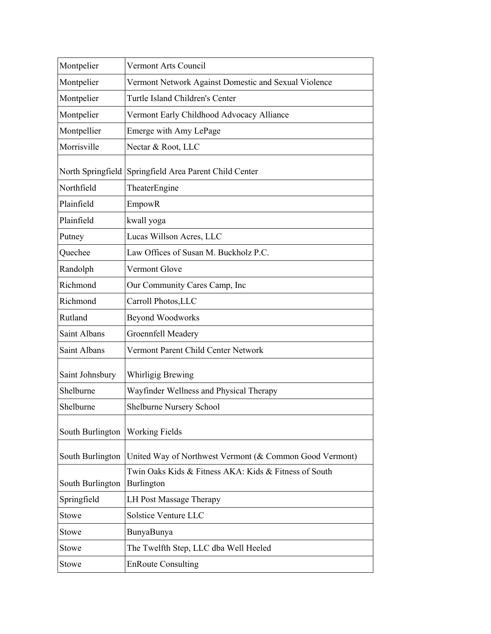| Montpelier       | Vermont Arts Council                                                |
|------------------|---------------------------------------------------------------------|
| Montpelier       | Vermont Network Against Domestic and Sexual Violence                |
| Montpelier       | Turtle Island Children's Center                                     |
| Montpelier       | Vermont Early Childhood Advocacy Alliance                           |
| Montpellier      | Emerge with Amy LePage                                              |
| Morrisville      | Nectar & Root, LLC                                                  |
|                  | North Springfield Springfield Area Parent Child Center              |
| Northfield       | TheaterEngine                                                       |
| Plainfield       | EmpowR                                                              |
| Plainfield       | kwall yoga                                                          |
| Putney           | Lucas Willson Acres, LLC                                            |
| Quechee          | Law Offices of Susan M. Buckholz P.C.                               |
| Randolph         | Vermont Glove                                                       |
| Richmond         | Our Community Cares Camp, Inc                                       |
| Richmond         | Carroll Photos, LLC                                                 |
| Rutland          | <b>Beyond Woodworks</b>                                             |
| Saint Albans     | Groennfell Meadery                                                  |
| Saint Albans     | Vermont Parent Child Center Network                                 |
| Saint Johnsbury  | Whirligig Brewing                                                   |
| Shelburne        | Wayfinder Wellness and Physical Therapy                             |
| Shelburne        | Shelburne Nursery School                                            |
| South Burlington | <b>Working Fields</b>                                               |
| South Burlington | United Way of Northwest Vermont (& Common Good Vermont)             |
| South Burlington | Twin Oaks Kids & Fitness AKA: Kids & Fitness of South<br>Burlington |
| Springfield      | <b>LH Post Massage Therapy</b>                                      |
| Stowe            | Solstice Venture LLC                                                |
| Stowe            | BunyaBunya                                                          |
| Stowe            | The Twelfth Step, LLC dba Well Heeled                               |
| <b>Stowe</b>     | <b>EnRoute Consulting</b>                                           |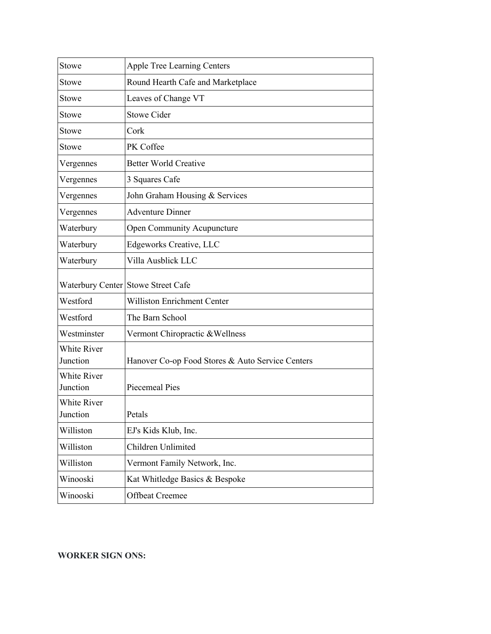| Stowe                          | <b>Apple Tree Learning Centers</b>               |
|--------------------------------|--------------------------------------------------|
| Stowe                          | Round Hearth Cafe and Marketplace                |
| Stowe                          | Leaves of Change VT                              |
| <b>Stowe</b>                   | <b>Stowe Cider</b>                               |
| Stowe                          | Cork                                             |
| Stowe                          | PK Coffee                                        |
| Vergennes                      | <b>Better World Creative</b>                     |
| Vergennes                      | 3 Squares Cafe                                   |
| Vergennes                      | John Graham Housing & Services                   |
| Vergennes                      | <b>Adventure Dinner</b>                          |
| Waterbury                      | <b>Open Community Acupuncture</b>                |
| Waterbury                      | Edgeworks Creative, LLC                          |
| Waterbury                      | Villa Ausblick LLC                               |
|                                | Waterbury Center Stowe Street Cafe               |
| Westford                       | <b>Williston Enrichment Center</b>               |
| Westford                       | The Barn School                                  |
| Westminster                    | Vermont Chiropractic & Wellness                  |
| <b>White River</b><br>Junction | Hanover Co-op Food Stores & Auto Service Centers |
| <b>White River</b><br>Junction | <b>Piecemeal Pies</b>                            |
| White River<br>Junction        | Petals                                           |
| Williston                      | EJ's Kids Klub, Inc.                             |
| Williston                      | Children Unlimited                               |
| Williston                      | Vermont Family Network, Inc.                     |
| Winooski                       | Kat Whitledge Basics & Bespoke                   |
| Winooski                       | <b>Offbeat Creemee</b>                           |

## **WORKER SIGN ONS:**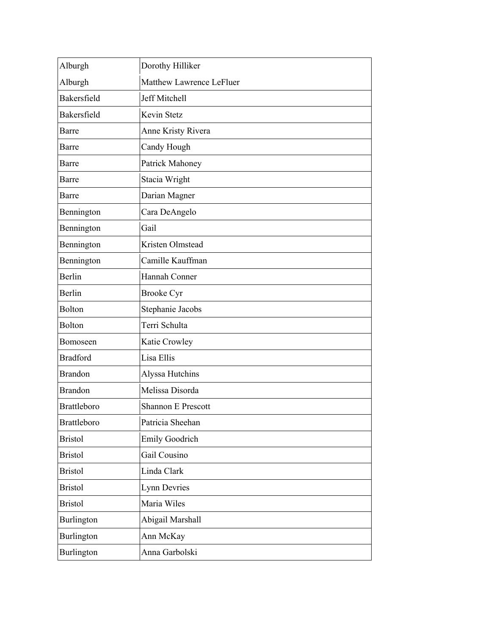| Alburgh            | Dorothy Hilliker          |
|--------------------|---------------------------|
| Alburgh            | Matthew Lawrence LeFluer  |
| Bakersfield        | Jeff Mitchell             |
| Bakersfield        | Kevin Stetz               |
| Barre              | Anne Kristy Rivera        |
| Barre              | Candy Hough               |
| Barre              | Patrick Mahoney           |
| Barre              | Stacia Wright             |
| Barre              | Darian Magner             |
| Bennington         | Cara DeAngelo             |
| Bennington         | Gail                      |
| Bennington         | Kristen Olmstead          |
| Bennington         | Camille Kauffman          |
| Berlin             | Hannah Conner             |
| Berlin             | <b>Brooke Cyr</b>         |
| Bolton             | Stephanie Jacobs          |
| <b>Bolton</b>      | Terri Schulta             |
| Bomoseen           | Katie Crowley             |
| <b>Bradford</b>    | Lisa Ellis                |
| <b>Brandon</b>     | Alyssa Hutchins           |
| <b>Brandon</b>     | Melissa Disorda           |
| <b>Brattleboro</b> | <b>Shannon E Prescott</b> |
| <b>Brattleboro</b> | Patricia Sheehan          |
| <b>Bristol</b>     | Emily Goodrich            |
| <b>Bristol</b>     | Gail Cousino              |
| <b>Bristol</b>     | Linda Clark               |
| <b>Bristol</b>     | Lynn Devries              |
| <b>Bristol</b>     | Maria Wiles               |
| Burlington         | Abigail Marshall          |
| Burlington         | Ann McKay                 |
| Burlington         | Anna Garbolski            |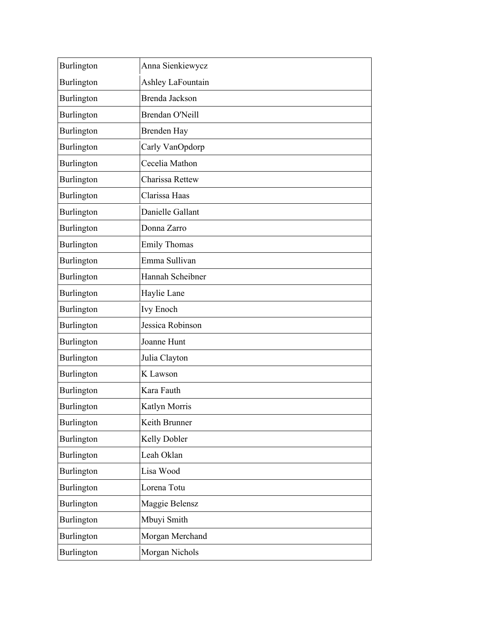| Burlington | Anna Sienkiewycz    |
|------------|---------------------|
| Burlington | Ashley LaFountain   |
| Burlington | Brenda Jackson      |
| Burlington | Brendan O'Neill     |
| Burlington | <b>Brenden Hay</b>  |
| Burlington | Carly VanOpdorp     |
| Burlington | Cecelia Mathon      |
| Burlington | Charissa Rettew     |
| Burlington | Clarissa Haas       |
| Burlington | Danielle Gallant    |
| Burlington | Donna Zarro         |
| Burlington | <b>Emily Thomas</b> |
| Burlington | Emma Sullivan       |
| Burlington | Hannah Scheibner    |
| Burlington | Haylie Lane         |
| Burlington | <b>Ivy Enoch</b>    |
| Burlington | Jessica Robinson    |
| Burlington | Joanne Hunt         |
| Burlington | Julia Clayton       |
| Burlington | K Lawson            |
| Burlington | Kara Fauth          |
| Burlington | Katlyn Morris       |
| Burlington | Keith Brunner       |
| Burlington | Kelly Dobler        |
| Burlington | Leah Oklan          |
| Burlington | Lisa Wood           |
| Burlington | Lorena Totu         |
| Burlington | Maggie Belensz      |
| Burlington | Mbuyi Smith         |
| Burlington | Morgan Merchand     |
| Burlington | Morgan Nichols      |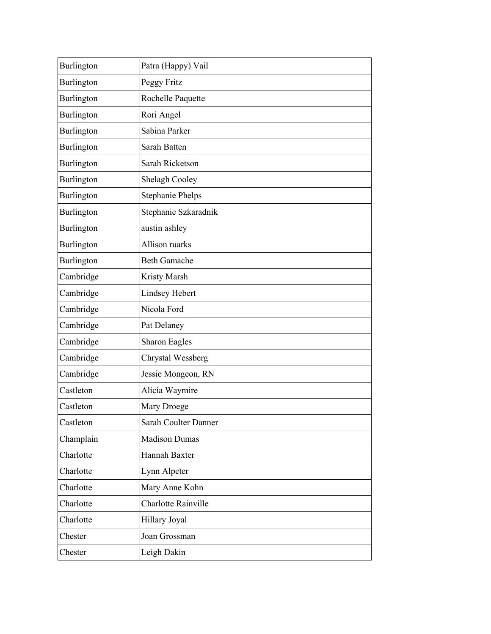| Burlington | Patra (Happy) Vail      |
|------------|-------------------------|
| Burlington | Peggy Fritz             |
| Burlington | Rochelle Paquette       |
| Burlington | Rori Angel              |
| Burlington | Sabina Parker           |
| Burlington | Sarah Batten            |
| Burlington | Sarah Ricketson         |
| Burlington | Shelagh Cooley          |
| Burlington | <b>Stephanie Phelps</b> |
| Burlington | Stephanie Szkaradnik    |
| Burlington | austin ashley           |
| Burlington | Allison ruarks          |
| Burlington | <b>Beth Gamache</b>     |
| Cambridge  | Kristy Marsh            |
| Cambridge  | <b>Lindsey Hebert</b>   |
| Cambridge  | Nicola Ford             |
| Cambridge  | Pat Delaney             |
| Cambridge  | <b>Sharon Eagles</b>    |
| Cambridge  | Chrystal Wessberg       |
| Cambridge  | Jessie Mongeon, RN      |
| Castleton  | Alicia Waymire          |
| Castleton  | Mary Droege             |
| Castleton  | Sarah Coulter Danner    |
| Champlain  | <b>Madison Dumas</b>    |
| Charlotte  | Hannah Baxter           |
| Charlotte  | Lynn Alpeter            |
| Charlotte  | Mary Anne Kohn          |
| Charlotte  | Charlotte Rainville     |
| Charlotte  | Hillary Joyal           |
| Chester    | Joan Grossman           |
| Chester    | Leigh Dakin             |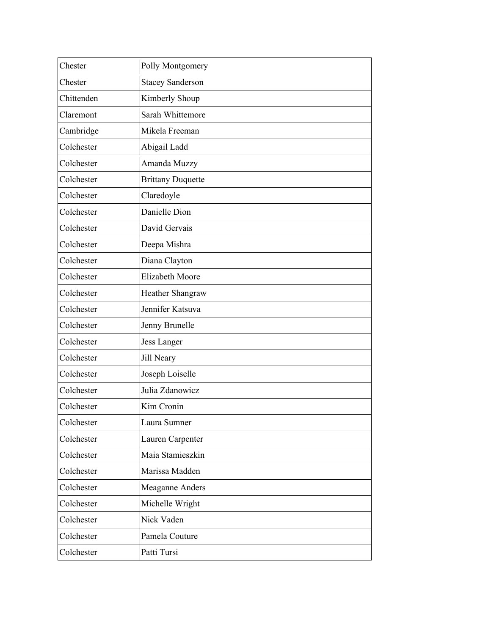| <b>Stacey Sanderson</b><br>Chester<br>Chittenden<br>Kimberly Shoup<br>Sarah Whittemore<br>Claremont<br>Cambridge<br>Mikela Freeman<br>Colchester<br>Abigail Ladd<br>Amanda Muzzy<br>Colchester<br>Colchester<br><b>Brittany Duquette</b><br>Claredoyle<br>Colchester<br>Danielle Dion<br>Colchester<br>David Gervais<br>Colchester<br>Colchester<br>Deepa Mishra<br>Diana Clayton<br>Colchester<br><b>Elizabeth Moore</b><br>Colchester<br>Colchester<br>Heather Shangraw<br>Jennifer Katsuva<br>Colchester<br>Colchester<br>Jenny Brunelle<br>Colchester<br>Jess Langer<br>Jill Neary<br>Colchester<br>Colchester<br>Joseph Loiselle<br>Julia Zdanowicz<br>Colchester<br>Colchester<br>Kim Cronin<br>Colchester<br>Laura Sumner<br>Colchester<br>Lauren Carpenter<br>Maia Stamieszkin<br>Colchester<br>Colchester<br>Marissa Madden<br>Colchester<br>Meaganne Anders<br>Colchester<br>Michelle Wright<br>Nick Vaden<br>Colchester<br>Colchester<br>Pamela Couture<br>Patti Tursi<br>Colchester | Chester | Polly Montgomery |
|-------------------------------------------------------------------------------------------------------------------------------------------------------------------------------------------------------------------------------------------------------------------------------------------------------------------------------------------------------------------------------------------------------------------------------------------------------------------------------------------------------------------------------------------------------------------------------------------------------------------------------------------------------------------------------------------------------------------------------------------------------------------------------------------------------------------------------------------------------------------------------------------------------------------------------------------------------------------------------------------------|---------|------------------|
|                                                                                                                                                                                                                                                                                                                                                                                                                                                                                                                                                                                                                                                                                                                                                                                                                                                                                                                                                                                                 |         |                  |
|                                                                                                                                                                                                                                                                                                                                                                                                                                                                                                                                                                                                                                                                                                                                                                                                                                                                                                                                                                                                 |         |                  |
|                                                                                                                                                                                                                                                                                                                                                                                                                                                                                                                                                                                                                                                                                                                                                                                                                                                                                                                                                                                                 |         |                  |
|                                                                                                                                                                                                                                                                                                                                                                                                                                                                                                                                                                                                                                                                                                                                                                                                                                                                                                                                                                                                 |         |                  |
|                                                                                                                                                                                                                                                                                                                                                                                                                                                                                                                                                                                                                                                                                                                                                                                                                                                                                                                                                                                                 |         |                  |
|                                                                                                                                                                                                                                                                                                                                                                                                                                                                                                                                                                                                                                                                                                                                                                                                                                                                                                                                                                                                 |         |                  |
|                                                                                                                                                                                                                                                                                                                                                                                                                                                                                                                                                                                                                                                                                                                                                                                                                                                                                                                                                                                                 |         |                  |
|                                                                                                                                                                                                                                                                                                                                                                                                                                                                                                                                                                                                                                                                                                                                                                                                                                                                                                                                                                                                 |         |                  |
|                                                                                                                                                                                                                                                                                                                                                                                                                                                                                                                                                                                                                                                                                                                                                                                                                                                                                                                                                                                                 |         |                  |
|                                                                                                                                                                                                                                                                                                                                                                                                                                                                                                                                                                                                                                                                                                                                                                                                                                                                                                                                                                                                 |         |                  |
|                                                                                                                                                                                                                                                                                                                                                                                                                                                                                                                                                                                                                                                                                                                                                                                                                                                                                                                                                                                                 |         |                  |
|                                                                                                                                                                                                                                                                                                                                                                                                                                                                                                                                                                                                                                                                                                                                                                                                                                                                                                                                                                                                 |         |                  |
|                                                                                                                                                                                                                                                                                                                                                                                                                                                                                                                                                                                                                                                                                                                                                                                                                                                                                                                                                                                                 |         |                  |
|                                                                                                                                                                                                                                                                                                                                                                                                                                                                                                                                                                                                                                                                                                                                                                                                                                                                                                                                                                                                 |         |                  |
|                                                                                                                                                                                                                                                                                                                                                                                                                                                                                                                                                                                                                                                                                                                                                                                                                                                                                                                                                                                                 |         |                  |
|                                                                                                                                                                                                                                                                                                                                                                                                                                                                                                                                                                                                                                                                                                                                                                                                                                                                                                                                                                                                 |         |                  |
|                                                                                                                                                                                                                                                                                                                                                                                                                                                                                                                                                                                                                                                                                                                                                                                                                                                                                                                                                                                                 |         |                  |
|                                                                                                                                                                                                                                                                                                                                                                                                                                                                                                                                                                                                                                                                                                                                                                                                                                                                                                                                                                                                 |         |                  |
|                                                                                                                                                                                                                                                                                                                                                                                                                                                                                                                                                                                                                                                                                                                                                                                                                                                                                                                                                                                                 |         |                  |
|                                                                                                                                                                                                                                                                                                                                                                                                                                                                                                                                                                                                                                                                                                                                                                                                                                                                                                                                                                                                 |         |                  |
|                                                                                                                                                                                                                                                                                                                                                                                                                                                                                                                                                                                                                                                                                                                                                                                                                                                                                                                                                                                                 |         |                  |
|                                                                                                                                                                                                                                                                                                                                                                                                                                                                                                                                                                                                                                                                                                                                                                                                                                                                                                                                                                                                 |         |                  |
|                                                                                                                                                                                                                                                                                                                                                                                                                                                                                                                                                                                                                                                                                                                                                                                                                                                                                                                                                                                                 |         |                  |
|                                                                                                                                                                                                                                                                                                                                                                                                                                                                                                                                                                                                                                                                                                                                                                                                                                                                                                                                                                                                 |         |                  |
|                                                                                                                                                                                                                                                                                                                                                                                                                                                                                                                                                                                                                                                                                                                                                                                                                                                                                                                                                                                                 |         |                  |
|                                                                                                                                                                                                                                                                                                                                                                                                                                                                                                                                                                                                                                                                                                                                                                                                                                                                                                                                                                                                 |         |                  |
|                                                                                                                                                                                                                                                                                                                                                                                                                                                                                                                                                                                                                                                                                                                                                                                                                                                                                                                                                                                                 |         |                  |
|                                                                                                                                                                                                                                                                                                                                                                                                                                                                                                                                                                                                                                                                                                                                                                                                                                                                                                                                                                                                 |         |                  |
|                                                                                                                                                                                                                                                                                                                                                                                                                                                                                                                                                                                                                                                                                                                                                                                                                                                                                                                                                                                                 |         |                  |
|                                                                                                                                                                                                                                                                                                                                                                                                                                                                                                                                                                                                                                                                                                                                                                                                                                                                                                                                                                                                 |         |                  |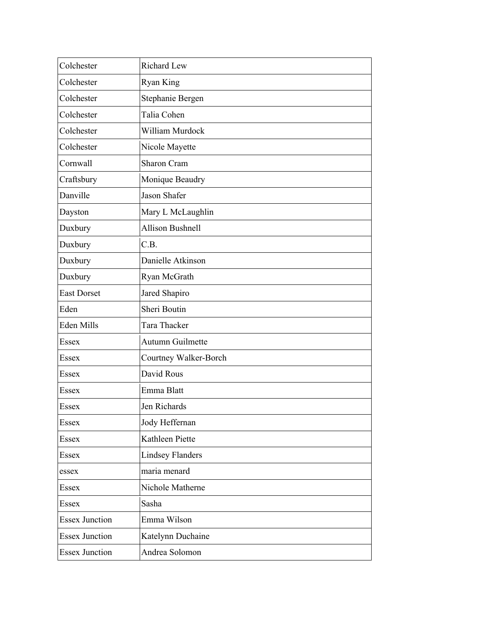| Colchester            | <b>Richard Lew</b>      |
|-----------------------|-------------------------|
| Colchester            | <b>Ryan King</b>        |
| Colchester            | Stephanie Bergen        |
| Colchester            | Talia Cohen             |
| Colchester            | William Murdock         |
| Colchester            | Nicole Mayette          |
| Cornwall              | Sharon Cram             |
| Craftsbury            | Monique Beaudry         |
| Danville              | Jason Shafer            |
| Dayston               | Mary L McLaughlin       |
| Duxbury               | <b>Allison Bushnell</b> |
| Duxbury               | C.B.                    |
| Duxbury               | Danielle Atkinson       |
| Duxbury               | Ryan McGrath            |
| <b>East Dorset</b>    | Jared Shapiro           |
| Eden                  | Sheri Boutin            |
| Eden Mills            | Tara Thacker            |
| Essex                 | Autumn Guilmette        |
| Essex                 | Courtney Walker-Borch   |
| Essex                 | David Rous              |
| Essex                 | Emma Blatt              |
| Essex                 | Jen Richards            |
| Essex                 | Jody Heffernan          |
| Essex                 | Kathleen Piette         |
| Essex                 | <b>Lindsey Flanders</b> |
| essex                 | maria menard            |
| Essex                 | Nichole Matherne        |
| Essex                 | Sasha                   |
| <b>Essex Junction</b> | Emma Wilson             |
| <b>Essex Junction</b> | Katelynn Duchaine       |
| <b>Essex Junction</b> | Andrea Solomon          |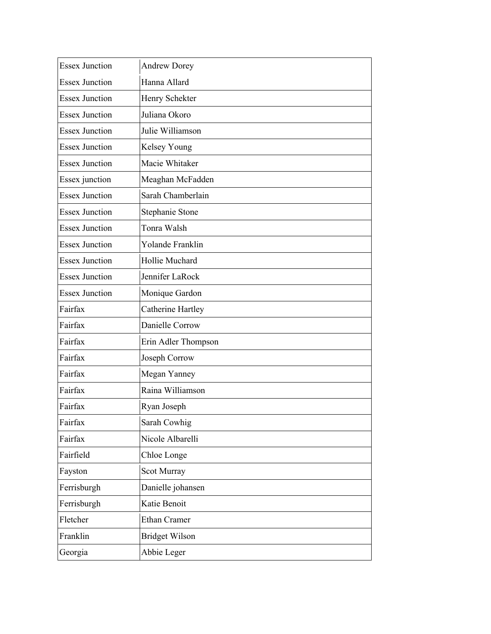| <b>Essex Junction</b> | <b>Andrew Dorey</b>      |
|-----------------------|--------------------------|
| <b>Essex Junction</b> | Hanna Allard             |
| <b>Essex Junction</b> | Henry Schekter           |
| <b>Essex Junction</b> | Juliana Okoro            |
| <b>Essex Junction</b> | Julie Williamson         |
| <b>Essex Junction</b> | Kelsey Young             |
| <b>Essex Junction</b> | Macie Whitaker           |
| Essex junction        | Meaghan McFadden         |
| <b>Essex Junction</b> | Sarah Chamberlain        |
| <b>Essex Junction</b> | Stephanie Stone          |
| <b>Essex Junction</b> | Tonra Walsh              |
| <b>Essex Junction</b> | Yolande Franklin         |
| <b>Essex Junction</b> | Hollie Muchard           |
| <b>Essex Junction</b> | Jennifer LaRock          |
| <b>Essex Junction</b> | Monique Gardon           |
| Fairfax               | <b>Catherine Hartley</b> |
| Fairfax               | Danielle Corrow          |
| Fairfax               | Erin Adler Thompson      |
| Fairfax               | Joseph Corrow            |
| Fairfax               | Megan Yanney             |
| Fairfax               | Raina Williamson         |
| Fairfax               | Ryan Joseph              |
| Fairfax               | Sarah Cowhig             |
| Fairfax               | Nicole Albarelli         |
| Fairfield             | Chloe Longe              |
| Fayston               | Scot Murray              |
| Ferrisburgh           | Danielle johansen        |
| Ferrisburgh           | Katie Benoit             |
| Fletcher              | <b>Ethan Cramer</b>      |
| Franklin              | <b>Bridget Wilson</b>    |
| Georgia               | Abbie Leger              |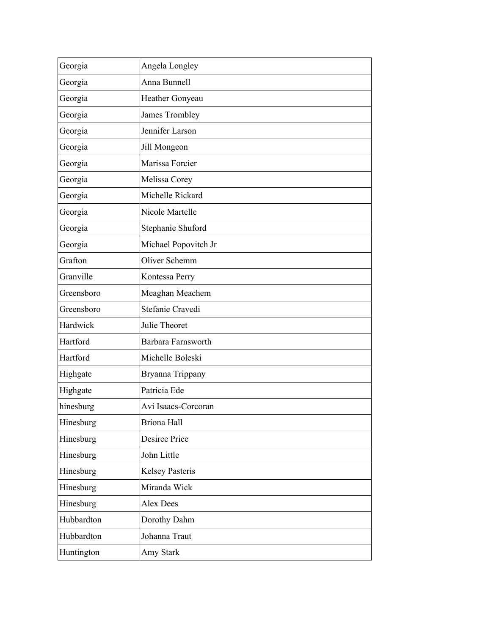| Georgia    | Angela Longley         |
|------------|------------------------|
| Georgia    | Anna Bunnell           |
| Georgia    | Heather Gonyeau        |
| Georgia    | James Trombley         |
| Georgia    | Jennifer Larson        |
| Georgia    | Jill Mongeon           |
| Georgia    | Marissa Forcier        |
| Georgia    | Melissa Corey          |
| Georgia    | Michelle Rickard       |
| Georgia    | Nicole Martelle        |
| Georgia    | Stephanie Shuford      |
| Georgia    | Michael Popovitch Jr   |
| Grafton    | Oliver Schemm          |
| Granville  | Kontessa Perry         |
| Greensboro | Meaghan Meachem        |
| Greensboro | Stefanie Cravedi       |
| Hardwick   | Julie Theoret          |
| Hartford   | Barbara Farnsworth     |
| Hartford   | Michelle Boleski       |
| Highgate   | Bryanna Trippany       |
| Highgate   | Patricia Ede           |
| hinesburg  | Avi Isaacs-Corcoran    |
| Hinesburg  | <b>Briona</b> Hall     |
| Hinesburg  | Desiree Price          |
| Hinesburg  | John Little            |
| Hinesburg  | <b>Kelsey Pasteris</b> |
| Hinesburg  | Miranda Wick           |
| Hinesburg  | <b>Alex Dees</b>       |
| Hubbardton | Dorothy Dahm           |
| Hubbardton | Johanna Traut          |
| Huntington | Amy Stark              |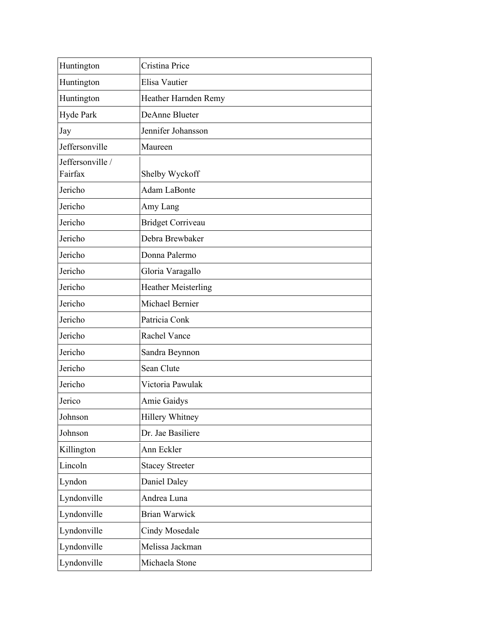| Huntington       | Cristina Price             |
|------------------|----------------------------|
| Huntington       | Elisa Vautier              |
| Huntington       | Heather Harnden Remy       |
| Hyde Park        | DeAnne Blueter             |
| Jay              | Jennifer Johansson         |
| Jeffersonville   | Maureen                    |
| Jeffersonville / |                            |
| Fairfax          | Shelby Wyckoff             |
| Jericho          | Adam LaBonte               |
| Jericho          | Amy Lang                   |
| Jericho          | <b>Bridget Corriveau</b>   |
| Jericho          | Debra Brewbaker            |
| Jericho          | Donna Palermo              |
| Jericho          | Gloria Varagallo           |
| Jericho          | <b>Heather Meisterling</b> |
| Jericho          | Michael Bernier            |
| Jericho          | Patricia Conk              |
| Jericho          | Rachel Vance               |
| Jericho          | Sandra Beynnon             |
| Jericho          | Sean Clute                 |
| Jericho          | Victoria Pawulak           |
| Jerico           | Amie Gaidys                |
| Johnson          | Hillery Whitney            |
| Johnson          | Dr. Jae Basiliere          |
| Killington       | Ann Eckler                 |
| Lincoln          | <b>Stacey Streeter</b>     |
| Lyndon           | Daniel Daley               |
| Lyndonville      | Andrea Luna                |
| Lyndonville      | <b>Brian Warwick</b>       |
| Lyndonville      | Cindy Mosedale             |
| Lyndonville      | Melissa Jackman            |
| Lyndonville      | Michaela Stone             |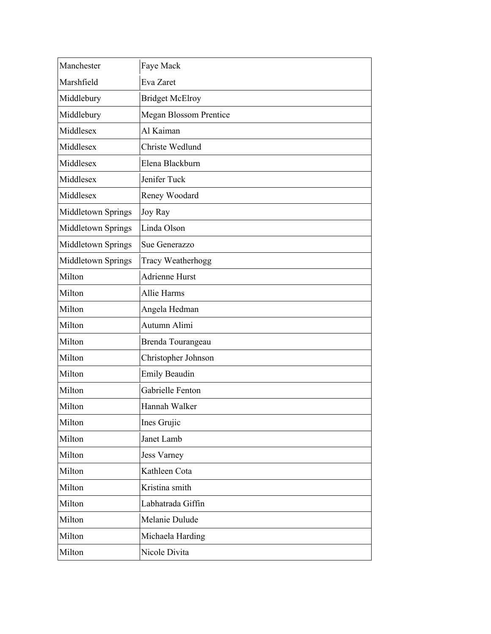| Manchester         | Faye Mack                     |
|--------------------|-------------------------------|
| Marshfield         | Eva Zaret                     |
| Middlebury         | <b>Bridget McElroy</b>        |
| Middlebury         | <b>Megan Blossom Prentice</b> |
| Middlesex          | Al Kaiman                     |
| Middlesex          | Christe Wedlund               |
| Middlesex          | Elena Blackburn               |
| Middlesex          | Jenifer Tuck                  |
| Middlesex          | Reney Woodard                 |
| Middletown Springs | <b>Joy Ray</b>                |
| Middletown Springs | Linda Olson                   |
| Middletown Springs | Sue Generazzo                 |
| Middletown Springs | <b>Tracy Weatherhogg</b>      |
| Milton             | Adrienne Hurst                |
| Milton             | Allie Harms                   |
| Milton             | Angela Hedman                 |
| Milton             | Autumn Alimi                  |
| Milton             | Brenda Tourangeau             |
| Milton             | Christopher Johnson           |
| Milton             | <b>Emily Beaudin</b>          |
| Milton             | Gabrielle Fenton              |
| Milton             | Hannah Walker                 |
| Milton             | Ines Grujic                   |
| Milton             | Janet Lamb                    |
| Milton             | Jess Varney                   |
| Milton             | Kathleen Cota                 |
| Milton             | Kristina smith                |
| Milton             | Labhatrada Giffin             |
| Milton             | Melanie Dulude                |
| Milton             | Michaela Harding              |
| Milton             | Nicole Divita                 |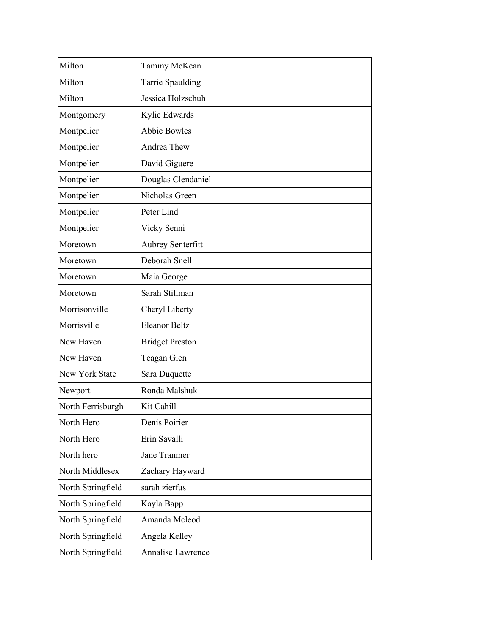| Milton                | Tammy McKean             |
|-----------------------|--------------------------|
| Milton                | Tarrie Spaulding         |
| Milton                | Jessica Holzschuh        |
| Montgomery            | Kylie Edwards            |
| Montpelier            | <b>Abbie Bowles</b>      |
| Montpelier            | Andrea Thew              |
| Montpelier            | David Giguere            |
| Montpelier            | Douglas Clendaniel       |
| Montpelier            | Nicholas Green           |
| Montpelier            | Peter Lind               |
| Montpelier            | Vicky Senni              |
| Moretown              | Aubrey Senterfitt        |
| Moretown              | Deborah Snell            |
| Moretown              | Maia George              |
| Moretown              | Sarah Stillman           |
| Morrisonville         | Cheryl Liberty           |
| Morrisville           | <b>Eleanor Beltz</b>     |
| New Haven             | <b>Bridget Preston</b>   |
| New Haven             | Teagan Glen              |
| <b>New York State</b> | Sara Duquette            |
| Newport               | Ronda Malshuk            |
| North Ferrisburgh     | Kit Cahill               |
| North Hero            | Denis Poirier            |
| North Hero            | Erin Savalli             |
| North hero            | Jane Tranmer             |
| North Middlesex       | Zachary Hayward          |
| North Springfield     | sarah zierfus            |
| North Springfield     | Kayla Bapp               |
| North Springfield     | Amanda Mcleod            |
| North Springfield     | Angela Kelley            |
| North Springfield     | <b>Annalise Lawrence</b> |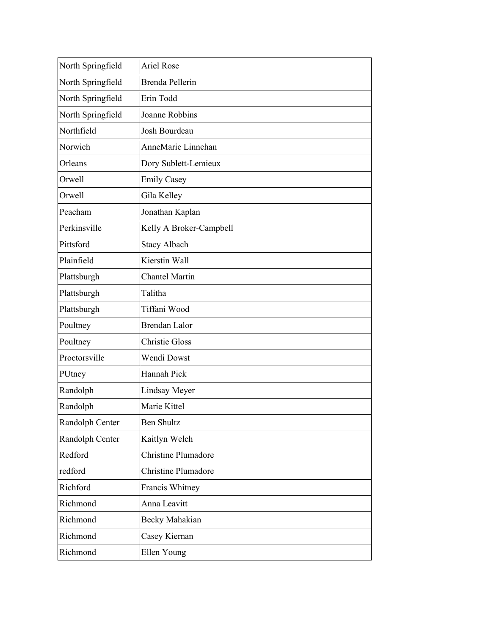| North Springfield | <b>Ariel Rose</b>          |
|-------------------|----------------------------|
| North Springfield | <b>Brenda Pellerin</b>     |
| North Springfield | Erin Todd                  |
| North Springfield | Joanne Robbins             |
| Northfield        | Josh Bourdeau              |
| Norwich           | AnneMarie Linnehan         |
| Orleans           | Dory Sublett-Lemieux       |
| Orwell            | <b>Emily Casey</b>         |
| Orwell            | Gila Kelley                |
| Peacham           | Jonathan Kaplan            |
| Perkinsville      | Kelly A Broker-Campbell    |
| Pittsford         | <b>Stacy Albach</b>        |
| Plainfield        | Kierstin Wall              |
| Plattsburgh       | <b>Chantel Martin</b>      |
| Plattsburgh       | Talitha                    |
| Plattsburgh       | Tiffani Wood               |
| Poultney          | <b>Brendan Lalor</b>       |
| Poultney          | <b>Christie Gloss</b>      |
| Proctorsville     | Wendi Dowst                |
| PUtney            | Hannah Pick                |
| Randolph          | Lindsay Meyer              |
| Randolph          | Marie Kittel               |
| Randolph Center   | <b>Ben Shultz</b>          |
| Randolph Center   | Kaitlyn Welch              |
| Redford           | <b>Christine Plumadore</b> |
| redford           | <b>Christine Plumadore</b> |
| Richford          | Francis Whitney            |
| Richmond          | Anna Leavitt               |
| Richmond          | Becky Mahakian             |
| Richmond          | Casey Kiernan              |
| Richmond          | Ellen Young                |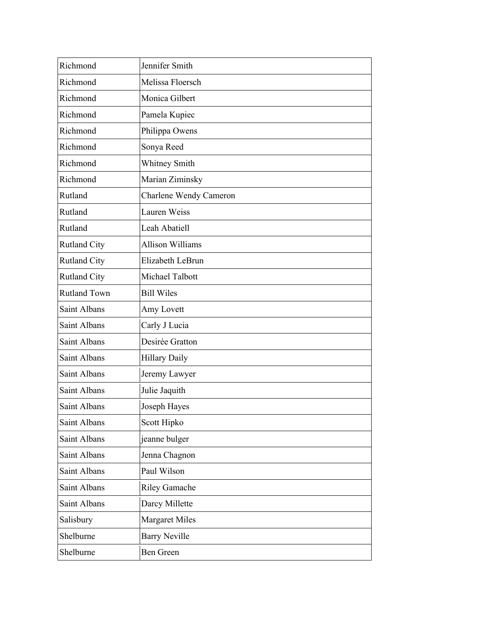| Richmond            | Jennifer Smith          |
|---------------------|-------------------------|
| Richmond            | Melissa Floersch        |
| Richmond            | Monica Gilbert          |
| Richmond            | Pamela Kupiec           |
| Richmond            | Philippa Owens          |
| Richmond            | Sonya Reed              |
| Richmond            | Whitney Smith           |
| Richmond            | Marian Ziminsky         |
| Rutland             | Charlene Wendy Cameron  |
| Rutland             | Lauren Weiss            |
| Rutland             | Leah Abatiell           |
| <b>Rutland City</b> | <b>Allison Williams</b> |
| <b>Rutland City</b> | Elizabeth LeBrun        |
| <b>Rutland City</b> | Michael Talbott         |
| <b>Rutland Town</b> | <b>Bill Wiles</b>       |
| Saint Albans        | Amy Lovett              |
| Saint Albans        | Carly J Lucia           |
| Saint Albans        | Desirée Gratton         |
| Saint Albans        | <b>Hillary Daily</b>    |
| Saint Albans        | Jeremy Lawyer           |
| Saint Albans        | Julie Jaquith           |
| Saint Albans        | Joseph Hayes            |
| Saint Albans        | Scott Hipko             |
| Saint Albans        | jeanne bulger           |
| Saint Albans        | Jenna Chagnon           |
| Saint Albans        | Paul Wilson             |
| Saint Albans        | Riley Gamache           |
| Saint Albans        | Darcy Millette          |
| Salisbury           | <b>Margaret Miles</b>   |
| Shelburne           | <b>Barry Neville</b>    |
| Shelburne           | Ben Green               |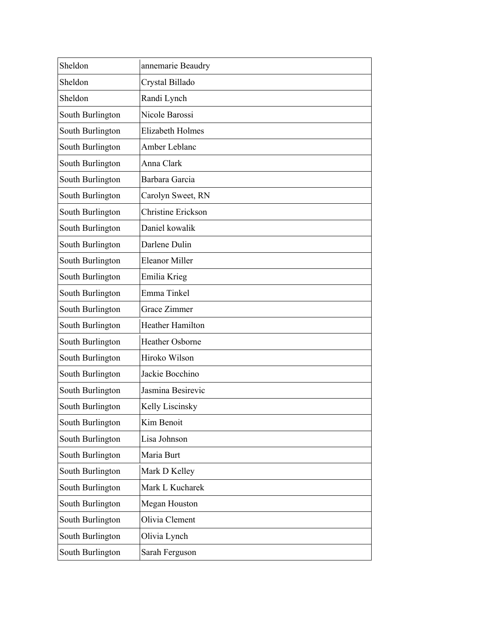| Sheldon          | annemarie Beaudry         |
|------------------|---------------------------|
| Sheldon          | Crystal Billado           |
| Sheldon          | Randi Lynch               |
| South Burlington | Nicole Barossi            |
| South Burlington | <b>Elizabeth Holmes</b>   |
| South Burlington | Amber Leblanc             |
| South Burlington | Anna Clark                |
| South Burlington | Barbara Garcia            |
| South Burlington | Carolyn Sweet, RN         |
| South Burlington | <b>Christine Erickson</b> |
| South Burlington | Daniel kowalik            |
| South Burlington | Darlene Dulin             |
| South Burlington | <b>Eleanor Miller</b>     |
| South Burlington | Emilia Krieg              |
| South Burlington | Emma Tinkel               |
| South Burlington | Grace Zimmer              |
| South Burlington | Heather Hamilton          |
| South Burlington | Heather Osborne           |
| South Burlington | Hiroko Wilson             |
| South Burlington | Jackie Bocchino           |
| South Burlington | Jasmina Besirevic         |
| South Burlington | Kelly Liscinsky           |
| South Burlington | Kim Benoit                |
| South Burlington | Lisa Johnson              |
| South Burlington | Maria Burt                |
| South Burlington | Mark D Kelley             |
| South Burlington | Mark L Kucharek           |
| South Burlington | Megan Houston             |
| South Burlington | Olivia Clement            |
| South Burlington | Olivia Lynch              |
| South Burlington | Sarah Ferguson            |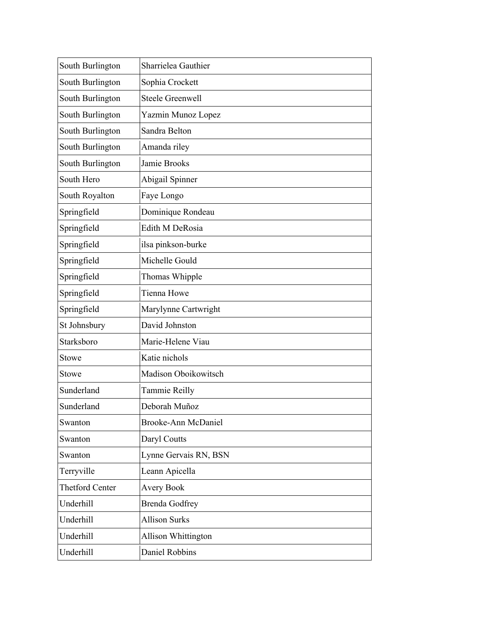| South Burlington       | Sharrielea Gauthier        |
|------------------------|----------------------------|
| South Burlington       | Sophia Crockett            |
| South Burlington       | <b>Steele Greenwell</b>    |
| South Burlington       | Yazmin Munoz Lopez         |
| South Burlington       | Sandra Belton              |
| South Burlington       | Amanda riley               |
| South Burlington       | Jamie Brooks               |
| South Hero             | Abigail Spinner            |
| South Royalton         | Faye Longo                 |
| Springfield            | Dominique Rondeau          |
| Springfield            | Edith M DeRosia            |
| Springfield            | ilsa pinkson-burke         |
| Springfield            | Michelle Gould             |
| Springfield            | Thomas Whipple             |
| Springfield            | <b>Tienna Howe</b>         |
| Springfield            | Marylynne Cartwright       |
| St Johnsbury           | David Johnston             |
| Starksboro             | Marie-Helene Viau          |
| Stowe                  | Katie nichols              |
| <b>Stowe</b>           | Madison Oboikowitsch       |
| Sunderland             | Tammie Reilly              |
| Sunderland             | Deborah Muñoz              |
| Swanton                | <b>Brooke-Ann McDaniel</b> |
| Swanton                | Daryl Coutts               |
| Swanton                | Lynne Gervais RN, BSN      |
| Terryville             | Leann Apicella             |
| <b>Thetford Center</b> | <b>Avery Book</b>          |
| Underhill              | <b>Brenda Godfrey</b>      |
| Underhill              | <b>Allison Surks</b>       |
| Underhill              | Allison Whittington        |
| Underhill              | Daniel Robbins             |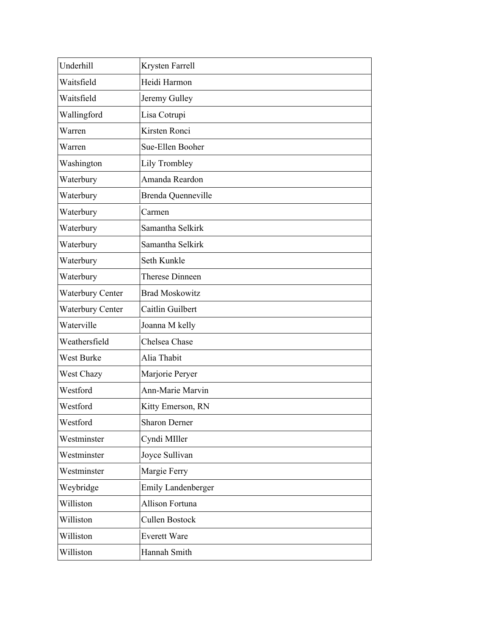| Underhill        | Krysten Farrell           |
|------------------|---------------------------|
| Waitsfield       | Heidi Harmon              |
| Waitsfield       | Jeremy Gulley             |
| Wallingford      | Lisa Cotrupi              |
| Warren           | Kirsten Ronci             |
| Warren           | Sue-Ellen Booher          |
| Washington       | Lily Trombley             |
| Waterbury        | Amanda Reardon            |
| Waterbury        | Brenda Quenneville        |
| Waterbury        | Carmen                    |
| Waterbury        | Samantha Selkirk          |
| Waterbury        | Samantha Selkirk          |
| Waterbury        | Seth Kunkle               |
| Waterbury        | <b>Therese Dinneen</b>    |
| Waterbury Center | <b>Brad Moskowitz</b>     |
| Waterbury Center | Caitlin Guilbert          |
| Waterville       | Joanna M kelly            |
| Weathersfield    | Chelsea Chase             |
| West Burke       | Alia Thabit               |
| West Chazy       | Marjorie Peryer           |
| Westford         | <b>Ann-Marie Marvin</b>   |
| Westford         | Kitty Emerson, RN         |
| Westford         | <b>Sharon Derner</b>      |
| Westminster      | Cyndi MIller              |
| Westminster      | Joyce Sullivan            |
| Westminster      | Margie Ferry              |
| Weybridge        | <b>Emily Landenberger</b> |
| Williston        | Allison Fortuna           |
| Williston        | Cullen Bostock            |
| Williston        | <b>Everett Ware</b>       |
| Williston        | Hannah Smith              |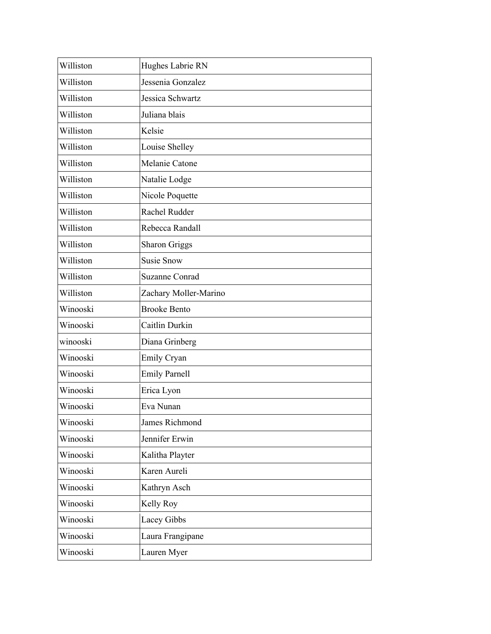| Williston | Hughes Labrie RN      |
|-----------|-----------------------|
| Williston | Jessenia Gonzalez     |
| Williston | Jessica Schwartz      |
| Williston | Juliana blais         |
| Williston | Kelsie                |
| Williston | Louise Shelley        |
| Williston | Melanie Catone        |
| Williston | Natalie Lodge         |
| Williston | Nicole Poquette       |
| Williston | Rachel Rudder         |
| Williston | Rebecca Randall       |
| Williston | <b>Sharon Griggs</b>  |
| Williston | <b>Susie Snow</b>     |
| Williston | <b>Suzanne Conrad</b> |
| Williston | Zachary Moller-Marino |
| Winooski  | <b>Brooke Bento</b>   |
| Winooski  | Caitlin Durkin        |
| winooski  | Diana Grinberg        |
| Winooski  | Emily Cryan           |
| Winooski  | <b>Emily Parnell</b>  |
| Winooski  | Erica Lyon            |
| Winooski  | Eva Nunan             |
| Winooski  | James Richmond        |
| Winooski  | Jennifer Erwin        |
| Winooski  | Kalitha Playter       |
| Winooski  | Karen Aureli          |
| Winooski  | Kathryn Asch          |
| Winooski  | Kelly Roy             |
| Winooski  | Lacey Gibbs           |
| Winooski  | Laura Frangipane      |
| Winooski  | Lauren Myer           |